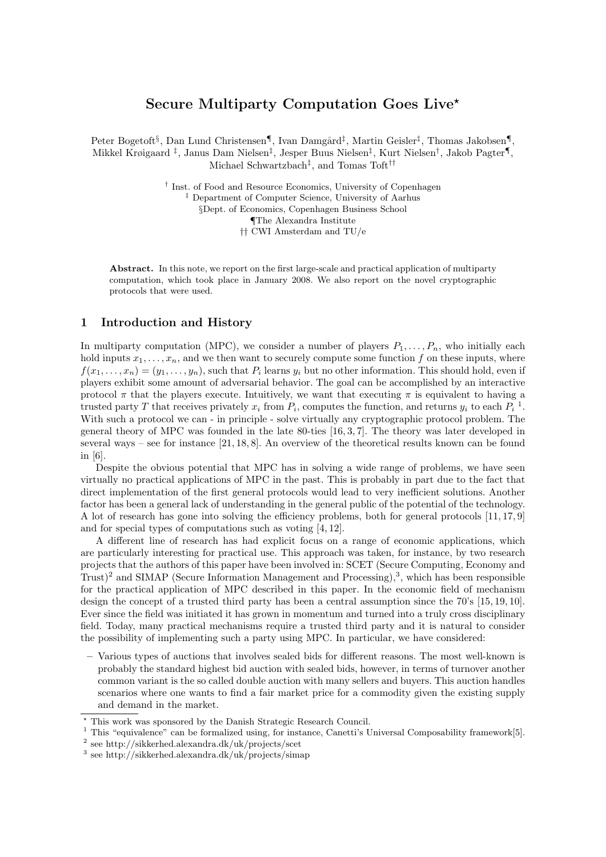# Secure Multiparty Computation Goes Live?

Peter Bogetoft<sup>§</sup>, Dan Lund Christensen¶, Ivan Damgård<sup>‡</sup>, Martin Geisler<sup>‡</sup>, Thomas Jakobsen¶, Mikkel Krøigaard <sup>‡</sup>, Janus Dam Nielsen<sup>‡</sup>, Jesper Buus Nielsen<sup>‡</sup>, Kurt Nielsen<sup>†</sup>, Jakob Pagter¶, Michael Schwartzbach<sup>‡</sup>, and Tomas Toft<sup>††</sup>

> † Inst. of Food and Resource Economics, University of Copenhagen ‡ Department of Computer Science, University of Aarhus §Dept. of Economics, Copenhagen Business School ¶The Alexandra Institute †† CWI Amsterdam and TU/e

Abstract. In this note, we report on the first large-scale and practical application of multiparty computation, which took place in January 2008. We also report on the novel cryptographic protocols that were used.

# 1 Introduction and History

In multiparty computation (MPC), we consider a number of players  $P_1, \ldots, P_n$ , who initially each hold inputs  $x_1, \ldots, x_n$ , and we then want to securely compute some function f on these inputs, where  $f(x_1, \ldots, x_n) = (y_1, \ldots, y_n)$ , such that  $P_i$  learns  $y_i$  but no other information. This should hold, even if players exhibit some amount of adversarial behavior. The goal can be accomplished by an interactive protocol  $\pi$  that the players execute. Intuitively, we want that executing  $\pi$  is equivalent to having a trusted party T that receives privately  $x_i$  from  $P_i$ , computes the function, and returns  $y_i$  to each  $P_i$ <sup>1</sup>. With such a protocol we can - in principle - solve virtually any cryptographic protocol problem. The general theory of MPC was founded in the late 80-ties [16, 3, 7]. The theory was later developed in several ways – see for instance [21, 18, 8]. An overview of the theoretical results known can be found in [6].

Despite the obvious potential that MPC has in solving a wide range of problems, we have seen virtually no practical applications of MPC in the past. This is probably in part due to the fact that direct implementation of the first general protocols would lead to very inefficient solutions. Another factor has been a general lack of understanding in the general public of the potential of the technology. A lot of research has gone into solving the efficiency problems, both for general protocols [11, 17, 9] and for special types of computations such as voting [4, 12].

A different line of research has had explicit focus on a range of economic applications, which are particularly interesting for practical use. This approach was taken, for instance, by two research projects that the authors of this paper have been involved in: SCET (Secure Computing, Economy and Trust)<sup>2</sup> and SIMAP (Secure Information Management and Processing),<sup>3</sup>, which has been responsible for the practical application of MPC described in this paper. In the economic field of mechanism design the concept of a trusted third party has been a central assumption since the 70's [15, 19, 10]. Ever since the field was initiated it has grown in momentum and turned into a truly cross disciplinary field. Today, many practical mechanisms require a trusted third party and it is natural to consider the possibility of implementing such a party using MPC. In particular, we have considered:

– Various types of auctions that involves sealed bids for different reasons. The most well-known is probably the standard highest bid auction with sealed bids, however, in terms of turnover another common variant is the so called double auction with many sellers and buyers. This auction handles scenarios where one wants to find a fair market price for a commodity given the existing supply and demand in the market.

<sup>?</sup> This work was sponsored by the Danish Strategic Research Council.

<sup>&</sup>lt;sup>1</sup> This "equivalence" can be formalized using, for instance, Canetti's Universal Composability framework[5].

<sup>2</sup> see http://sikkerhed.alexandra.dk/uk/projects/scet

<sup>3</sup> see http://sikkerhed.alexandra.dk/uk/projects/simap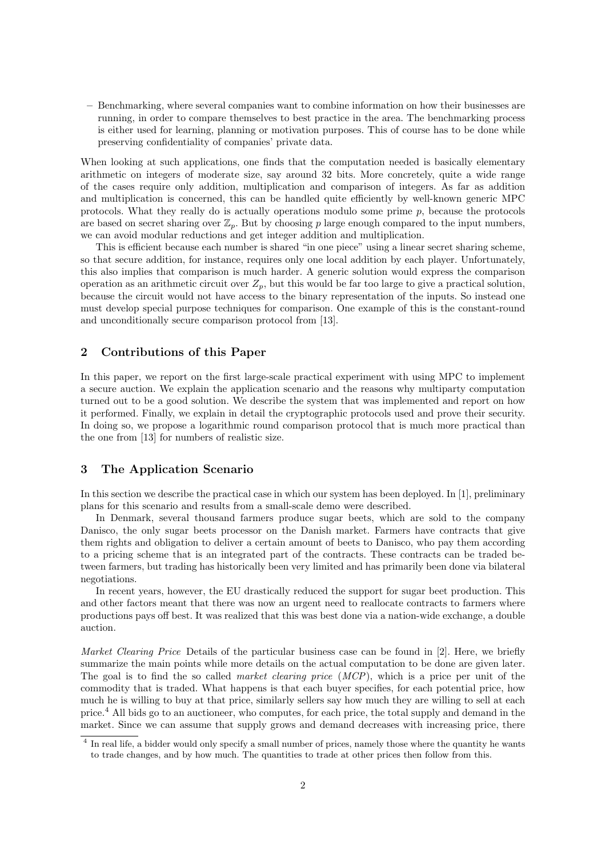– Benchmarking, where several companies want to combine information on how their businesses are running, in order to compare themselves to best practice in the area. The benchmarking process is either used for learning, planning or motivation purposes. This of course has to be done while preserving confidentiality of companies' private data.

When looking at such applications, one finds that the computation needed is basically elementary arithmetic on integers of moderate size, say around 32 bits. More concretely, quite a wide range of the cases require only addition, multiplication and comparison of integers. As far as addition and multiplication is concerned, this can be handled quite efficiently by well-known generic MPC protocols. What they really do is actually operations modulo some prime p, because the protocols are based on secret sharing over  $\mathbb{Z}_p$ . But by choosing p large enough compared to the input numbers, we can avoid modular reductions and get integer addition and multiplication.

This is efficient because each number is shared "in one piece" using a linear secret sharing scheme, so that secure addition, for instance, requires only one local addition by each player. Unfortunately, this also implies that comparison is much harder. A generic solution would express the comparison operation as an arithmetic circuit over  $Z_p$ , but this would be far too large to give a practical solution, because the circuit would not have access to the binary representation of the inputs. So instead one must develop special purpose techniques for comparison. One example of this is the constant-round and unconditionally secure comparison protocol from [13].

# 2 Contributions of this Paper

In this paper, we report on the first large-scale practical experiment with using MPC to implement a secure auction. We explain the application scenario and the reasons why multiparty computation turned out to be a good solution. We describe the system that was implemented and report on how it performed. Finally, we explain in detail the cryptographic protocols used and prove their security. In doing so, we propose a logarithmic round comparison protocol that is much more practical than the one from [13] for numbers of realistic size.

### 3 The Application Scenario

In this section we describe the practical case in which our system has been deployed. In [1], preliminary plans for this scenario and results from a small-scale demo were described.

In Denmark, several thousand farmers produce sugar beets, which are sold to the company Danisco, the only sugar beets processor on the Danish market. Farmers have contracts that give them rights and obligation to deliver a certain amount of beets to Danisco, who pay them according to a pricing scheme that is an integrated part of the contracts. These contracts can be traded between farmers, but trading has historically been very limited and has primarily been done via bilateral negotiations.

In recent years, however, the EU drastically reduced the support for sugar beet production. This and other factors meant that there was now an urgent need to reallocate contracts to farmers where productions pays off best. It was realized that this was best done via a nation-wide exchange, a double auction.

Market Clearing Price Details of the particular business case can be found in [2]. Here, we briefly summarize the main points while more details on the actual computation to be done are given later. The goal is to find the so called *market clearing price*  $(MCP)$ , which is a price per unit of the commodity that is traded. What happens is that each buyer specifies, for each potential price, how much he is willing to buy at that price, similarly sellers say how much they are willing to sell at each price.<sup>4</sup> All bids go to an auctioneer, who computes, for each price, the total supply and demand in the market. Since we can assume that supply grows and demand decreases with increasing price, there

<sup>&</sup>lt;sup>4</sup> In real life, a bidder would only specify a small number of prices, namely those where the quantity he wants to trade changes, and by how much. The quantities to trade at other prices then follow from this.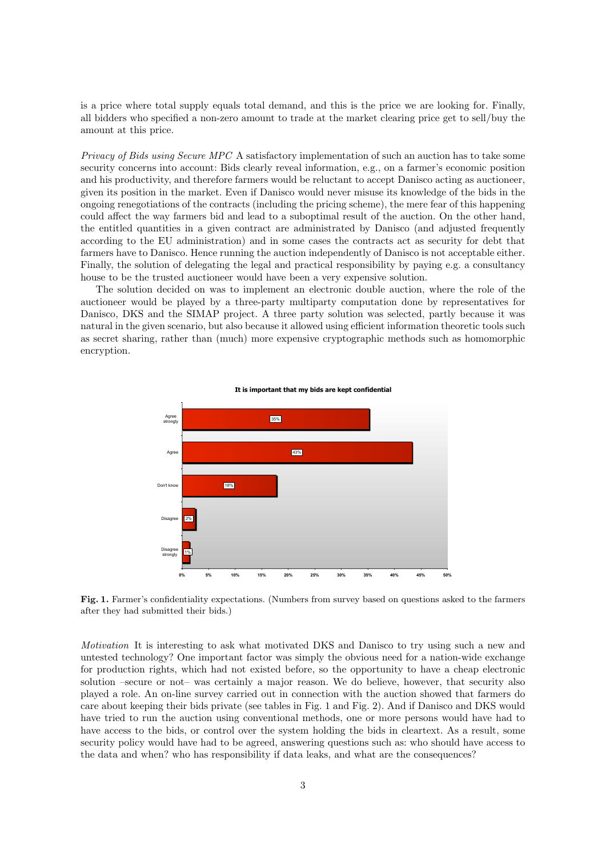is a price where total supply equals total demand, and this is the price we are looking for. Finally, all bidders who specified a non-zero amount to trade at the market clearing price get to sell/buy the amount at this price.

Privacy of Bids using Secure MPC A satisfactory implementation of such an auction has to take some security concerns into account: Bids clearly reveal information, e.g., on a farmer's economic position and his productivity, and therefore farmers would be reluctant to accept Danisco acting as auctioneer, given its position in the market. Even if Danisco would never misuse its knowledge of the bids in the ongoing renegotiations of the contracts (including the pricing scheme), the mere fear of this happening could affect the way farmers bid and lead to a suboptimal result of the auction. On the other hand, the entitled quantities in a given contract are administrated by Danisco (and adjusted frequently according to the EU administration) and in some cases the contracts act as security for debt that farmers have to Danisco. Hence running the auction independently of Danisco is not acceptable either. Finally, the solution of delegating the legal and practical responsibility by paying e.g. a consultancy house to be the trusted auctioneer would have been a very expensive solution.

The solution decided on was to implement an electronic double auction, where the role of the auctioneer would be played by a three-party multiparty computation done by representatives for Danisco, DKS and the SIMAP project. A three party solution was selected, partly because it was natural in the given scenario, but also because it allowed using efficient information theoretic tools such as secret sharing, rather than (much) more expensive cryptographic methods such as homomorphic encryption.



**It is important that my bids are kept confidential** 

Fig. 1. Farmer's confidentiality expectations. (Numbers from survey based on questions asked to the farmers after they had submitted their bids.)

Motivation It is interesting to ask what motivated DKS and Danisco to try using such a new and untested technology? One important factor was simply the obvious need for a nation-wide exchange for production rights, which had not existed before, so the opportunity to have a cheap electronic solution –secure or not– was certainly a major reason. We do believe, however, that security also played a role. An on-line survey carried out in connection with the auction showed that farmers do care about keeping their bids private (see tables in Fig. 1 and Fig. 2). And if Danisco and DKS would have tried to run the auction using conventional methods, one or more persons would have had to have access to the bids, or control over the system holding the bids in cleartext. As a result, some security policy would have had to be agreed, answering questions such as: who should have access to the data and when? who has responsibility if data leaks, and what are the consequences?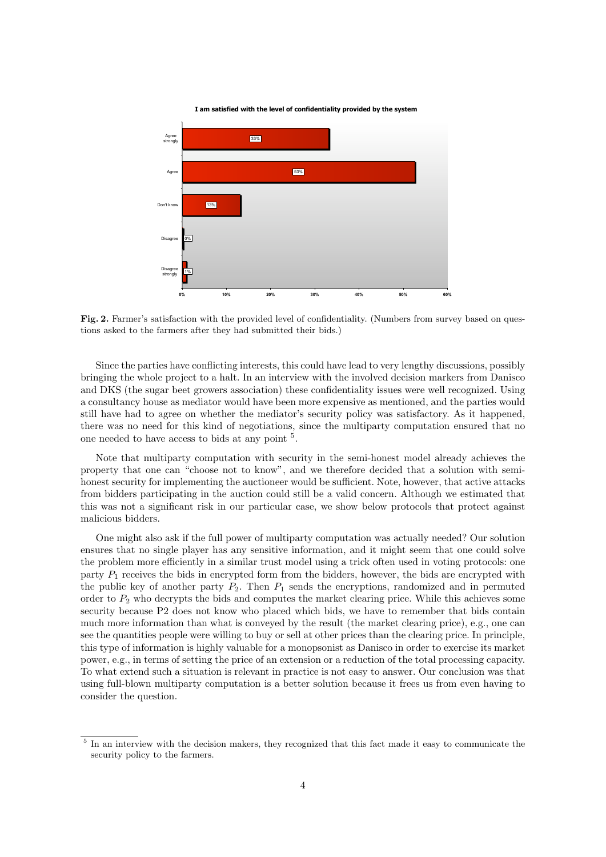

Fig. 2. Farmer's satisfaction with the provided level of confidentiality. (Numbers from survey based on questions asked to the farmers after they had submitted their bids.)

Since the parties have conflicting interests, this could have lead to very lengthy discussions, possibly bringing the whole project to a halt. In an interview with the involved decision markers from Danisco and DKS (the sugar beet growers association) these confidentiality issues were well recognized. Using a consultancy house as mediator would have been more expensive as mentioned, and the parties would still have had to agree on whether the mediator's security policy was satisfactory. As it happened, there was no need for this kind of negotiations, since the multiparty computation ensured that no one needed to have access to bids at any point <sup>5</sup>.

Note that multiparty computation with security in the semi-honest model already achieves the property that one can "choose not to know", and we therefore decided that a solution with semihonest security for implementing the auctioneer would be sufficient. Note, however, that active attacks from bidders participating in the auction could still be a valid concern. Although we estimated that this was not a significant risk in our particular case, we show below protocols that protect against malicious bidders.

One might also ask if the full power of multiparty computation was actually needed? Our solution ensures that no single player has any sensitive information, and it might seem that one could solve the problem more efficiently in a similar trust model using a trick often used in voting protocols: one party  $P_1$  receives the bids in encrypted form from the bidders, however, the bids are encrypted with the public key of another party  $P_2$ . Then  $P_1$  sends the encryptions, randomized and in permuted order to  $P_2$  who decrypts the bids and computes the market clearing price. While this achieves some security because P2 does not know who placed which bids, we have to remember that bids contain much more information than what is conveyed by the result (the market clearing price), e.g., one can see the quantities people were willing to buy or sell at other prices than the clearing price. In principle, this type of information is highly valuable for a monopsonist as Danisco in order to exercise its market power, e.g., in terms of setting the price of an extension or a reduction of the total processing capacity. To what extend such a situation is relevant in practice is not easy to answer. Our conclusion was that using full-blown multiparty computation is a better solution because it frees us from even having to consider the question.

<sup>&</sup>lt;sup>5</sup> In an interview with the decision makers, they recognized that this fact made it easy to communicate the security policy to the farmers.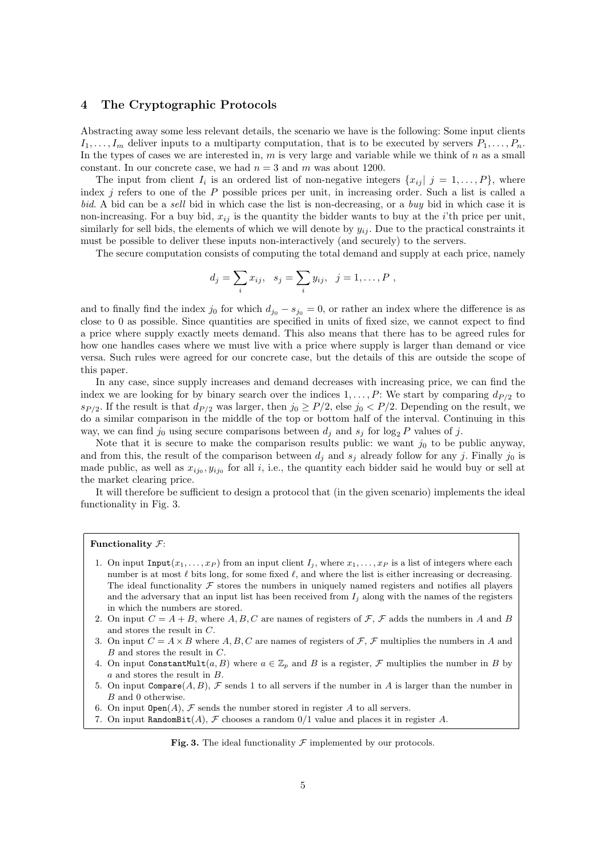### 4 The Cryptographic Protocols

Abstracting away some less relevant details, the scenario we have is the following: Some input clients  $I_1, \ldots, I_m$  deliver inputs to a multiparty computation, that is to be executed by servers  $P_1, \ldots, P_n$ . In the types of cases we are interested in,  $m$  is very large and variable while we think of  $n$  as a small constant. In our concrete case, we had  $n = 3$  and m was about 1200.

The input from client  $I_i$  is an ordered list of non-negative integers  $\{x_{ij} | j = 1, \ldots, P\}$ , where index  $j$  refers to one of the  $P$  possible prices per unit, in increasing order. Such a list is called a bid. A bid can be a sell bid in which case the list is non-decreasing, or a buy bid in which case it is non-increasing. For a buy bid,  $x_{ij}$  is the quantity the bidder wants to buy at the *i*'th price per unit, similarly for sell bids, the elements of which we will denote by  $y_{ij}$ . Due to the practical constraints it must be possible to deliver these inputs non-interactively (and securely) to the servers.

The secure computation consists of computing the total demand and supply at each price, namely

$$
d_j = \sum_i x_{ij}, \quad s_j = \sum_i y_{ij}, \quad j = 1, ..., P
$$

and to finally find the index j<sub>0</sub> for which  $d_{j0} - s_{j0} = 0$ , or rather an index where the difference is as close to 0 as possible. Since quantities are specified in units of fixed size, we cannot expect to find a price where supply exactly meets demand. This also means that there has to be agreed rules for how one handles cases where we must live with a price where supply is larger than demand or vice versa. Such rules were agreed for our concrete case, but the details of this are outside the scope of this paper.

In any case, since supply increases and demand decreases with increasing price, we can find the index we are looking for by binary search over the indices  $1, \ldots, P$ : We start by comparing  $d_{P/2}$  to  $s_{P/2}$ . If the result is that  $d_{P/2}$  was larger, then  $j_0 \geq P/2$ , else  $j_0 < P/2$ . Depending on the result, we do a similar comparison in the middle of the top or bottom half of the interval. Continuing in this way, we can find  $j_0$  using secure comparisons between  $d_i$  and  $s_i$  for log<sub>2</sub> P values of j.

Note that it is secure to make the comparison results public: we want  $j_0$  to be public anyway, and from this, the result of the comparison between  $d_i$  and  $s_i$  already follow for any j. Finally j<sub>0</sub> is made public, as well as  $x_{ij_0}, y_{ij_0}$  for all i, i.e., the quantity each bidder said he would buy or sell at the market clearing price.

It will therefore be sufficient to design a protocol that (in the given scenario) implements the ideal functionality in Fig. 3.

#### Functionality  $F$ :

- 1. On input Input $(x_1, \ldots, x_p)$  from an input client  $I_i$ , where  $x_1, \ldots, x_p$  is a list of integers where each number is at most  $\ell$  bits long, for some fixed  $\ell$ , and where the list is either increasing or decreasing. The ideal functionality  $\mathcal F$  stores the numbers in uniquely named registers and notifies all players and the adversary that an input list has been received from  $I_j$  along with the names of the registers in which the numbers are stored.
- 2. On input  $C = A + B$ , where A, B, C are names of registers of F, F adds the numbers in A and B and stores the result in C.
- 3. On input  $C = A \times B$  where A, B, C are names of registers of F, F multiplies the numbers in A and B and stores the result in C.
- 4. On input ConstantMult $(a, B)$  where  $a \in \mathbb{Z}_p$  and B is a register, F multiplies the number in B by a and stores the result in B.
- 5. On input Compare $(A, B)$ , F sends 1 to all servers if the number in A is larger than the number in B and 0 otherwise.
- 6. On input  $Open(A)$ , F sends the number stored in register A to all servers.
- 7. On input RandomBit $(A)$ ,  $\mathcal F$  chooses a random  $0/1$  value and places it in register A.

Fig. 3. The ideal functionality  $\mathcal F$  implemented by our protocols.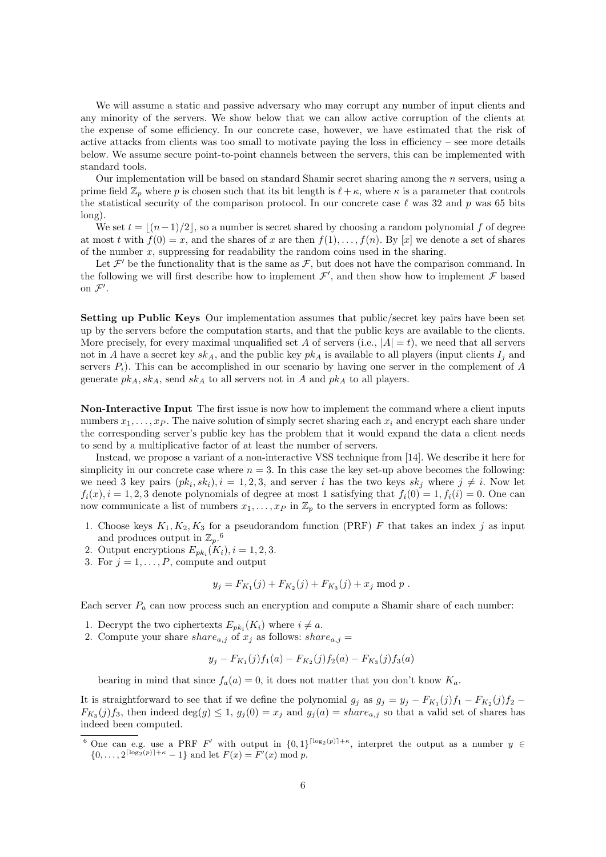We will assume a static and passive adversary who may corrupt any number of input clients and any minority of the servers. We show below that we can allow active corruption of the clients at the expense of some efficiency. In our concrete case, however, we have estimated that the risk of active attacks from clients was too small to motivate paying the loss in efficiency – see more details below. We assume secure point-to-point channels between the servers, this can be implemented with standard tools.

Our implementation will be based on standard Shamir secret sharing among the  $n$  servers, using a prime field  $\mathbb{Z}_p$  where p is chosen such that its bit length is  $\ell+\kappa$ , where  $\kappa$  is a parameter that controls the statistical security of the comparison protocol. In our concrete case  $\ell$  was 32 and p was 65 bits long).

We set  $t = \lfloor (n-1)/2 \rfloor$ , so a number is secret shared by choosing a random polynomial f of degree at most t with  $f(0) = x$ , and the shares of x are then  $f(1), \ldots, f(n)$ . By [x] we denote a set of shares of the number  $x$ , suppressing for readability the random coins used in the sharing.

Let  $\mathcal{F}'$  be the functionality that is the same as  $\mathcal{F}$ , but does not have the comparison command. In the following we will first describe how to implement  $\mathcal{F}'$ , and then show how to implement  $\mathcal F$  based on  $\mathcal{F}'$ .

Setting up Public Keys Our implementation assumes that public/secret key pairs have been set up by the servers before the computation starts, and that the public keys are available to the clients. More precisely, for every maximal unqualified set A of servers (i.e.,  $|A| = t$ ), we need that all servers not in A have a secret key  $sk_A$ , and the public key  $pk_A$  is available to all players (input clients  $I_i$  and servers  $P_i$ ). This can be accomplished in our scenario by having one server in the complement of A generate  $pk_A$ , sk<sub>A</sub>, send  $sk_A$  to all servers not in A and  $pk_A$  to all players.

Non-Interactive Input The first issue is now how to implement the command where a client inputs numbers  $x_1, \ldots, x_P$ . The naive solution of simply secret sharing each  $x_i$  and encrypt each share under the corresponding server's public key has the problem that it would expand the data a client needs to send by a multiplicative factor of at least the number of servers.

Instead, we propose a variant of a non-interactive VSS technique from [14]. We describe it here for simplicity in our concrete case where  $n = 3$ . In this case the key set-up above becomes the following: we need 3 key pairs  $(pk_i, sk_i), i = 1, 2, 3$ , and server i has the two keys  $sk_j$  where  $j \neq i$ . Now let  $f_i(x)$ ,  $i = 1, 2, 3$  denote polynomials of degree at most 1 satisfying that  $f_i(0) = 1$ ,  $f_i(i) = 0$ . One can now communicate a list of numbers  $x_1, \ldots, x_P$  in  $\mathbb{Z}_p$  to the servers in encrypted form as follows:

- 1. Choose keys  $K_1, K_2, K_3$  for a pseudorandom function (PRF) F that takes an index j as input and produces output in  $\mathbb{Z}_p$ .<sup>6</sup>
- 2. Output encryptions  $E_{pk_i}(K_i)$ ,  $i = 1, 2, 3$ .
- 3. For  $j = 1, \ldots, P$ , compute and output

$$
y_j = F_{K_1}(j) + F_{K_2}(j) + F_{K_3}(j) + x_j \mod p
$$
.

Each server  $P_a$  can now process such an encryption and compute a Shamir share of each number:

- 1. Decrypt the two ciphertexts  $E_{pk_i}(K_i)$  where  $i \neq a$ .
- 2. Compute your share  $share_{a,j}$  of  $x_j$  as follows:  $share_{a,j}$  =

$$
y_j - F_{K_1}(j) f_1(a) - F_{K_2}(j) f_2(a) - F_{K_3}(j) f_3(a)
$$

bearing in mind that since  $f_a(a) = 0$ , it does not matter that you don't know  $K_a$ .

It is straightforward to see that if we define the polynomial  $g_j$  as  $g_j = y_j - F_{K_1}(j) f_1 - F_{K_2}(j) f_2$  $F_{K_3}(j) f_3$ , then indeed  $\deg(g) \leq 1$ ,  $g_j(0) = x_j$  and  $g_j(a) = share_{a,j}$  so that a valid set of shares has indeed been computed.

<sup>&</sup>lt;sup>6</sup> One can e.g. use a PRF F' with output in  $\{0,1\}^{\lceil \log_2(p) \rceil + \kappa}$ , interpret the output as a number  $y \in$  $\{0, \ldots, 2^{\lceil \log_2(p) \rceil + \kappa} - 1\}$  and let  $F(x) = F'(x) \text{ mod } p$ .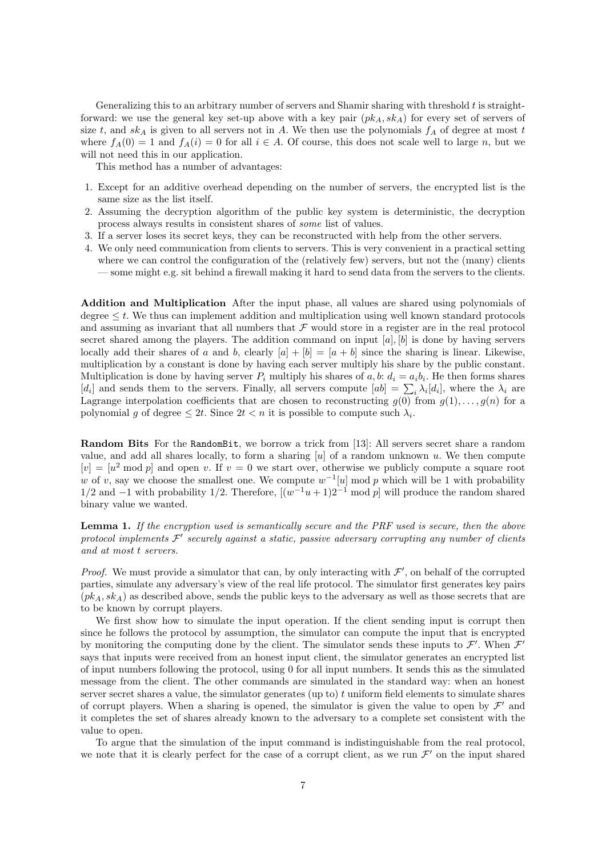Generalizing this to an arbitrary number of servers and Shamir sharing with threshold  $t$  is straightforward: we use the general key set-up above with a key pair  $(pk_A, sk_A)$  for every set of servers of size t, and sk<sub>A</sub> is given to all servers not in A. We then use the polynomials  $f_A$  of degree at most t where  $f_A(0) = 1$  and  $f_A(i) = 0$  for all  $i \in A$ . Of course, this does not scale well to large n, but we will not need this in our application.

This method has a number of advantages:

- 1. Except for an additive overhead depending on the number of servers, the encrypted list is the same size as the list itself.
- 2. Assuming the decryption algorithm of the public key system is deterministic, the decryption process always results in consistent shares of some list of values.
- 3. If a server loses its secret keys, they can be reconstructed with help from the other servers.
- 4. We only need communication from clients to servers. This is very convenient in a practical setting where we can control the configuration of the (relatively few) servers, but not the (many) clients — some might e.g. sit behind a firewall making it hard to send data from the servers to the clients.

Addition and Multiplication After the input phase, all values are shared using polynomials of degree  $\leq t$ . We thus can implement addition and multiplication using well known standard protocols and assuming as invariant that all numbers that  $\mathcal F$  would store in a register are in the real protocol secret shared among the players. The addition command on input  $[a], [b]$  is done by having servers locally add their shares of a and b, clearly  $[a] + [b] = [a + b]$  since the sharing is linear. Likewise, multiplication by a constant is done by having each server multiply his share by the public constant. Multiplication is done by having server  $P_i$  multiply his shares of  $a, b: d_i = a_i b_i$ . He then forms shares [d<sub>i</sub>] and sends them to the servers. Finally, all servers compute [ab] =  $\sum_i \lambda_i [d_i]$ , where the  $\lambda_i$  are Lagrange interpolation coefficients that are chosen to reconstructing  $g(0)$  from  $g(1), \ldots, g(n)$  for a polynomial g of degree  $\leq 2t$ . Since  $2t < n$  it is possible to compute such  $\lambda_i$ .

Random Bits For the RandomBit, we borrow a trick from [13]: All servers secret share a random value, and add all shares locally, to form a sharing  $[u]$  of a random unknown  $u$ . We then compute  $[v] = [u^2 \mod p]$  and open v. If  $v = 0$  we start over, otherwise we publicly compute a square root w of v, say we choose the smallest one. We compute  $w^{-1}[u] \mod p$  which will be 1 with probability 1/2 and  $-1$  with probability 1/2. Therefore,  $[(w^{-1}u+1)2^{-1} \mod p]$  will produce the random shared binary value we wanted.

Lemma 1. If the encryption used is semantically secure and the PRF used is secure, then the above protocol implements  $\mathcal{F}'$  securely against a static, passive adversary corrupting any number of clients and at most t servers.

*Proof.* We must provide a simulator that can, by only interacting with  $\mathcal{F}'$ , on behalf of the corrupted parties, simulate any adversary's view of the real life protocol. The simulator first generates key pairs  $(pk_A, sk_A)$  as described above, sends the public keys to the adversary as well as those secrets that are to be known by corrupt players.

We first show how to simulate the input operation. If the client sending input is corrupt then since he follows the protocol by assumption, the simulator can compute the input that is encrypted by monitoring the computing done by the client. The simulator sends these inputs to  $\mathcal{F}'$ . When  $\mathcal{F}'$ says that inputs were received from an honest input client, the simulator generates an encrypted list of input numbers following the protocol, using 0 for all input numbers. It sends this as the simulated message from the client. The other commands are simulated in the standard way: when an honest server secret shares a value, the simulator generates (up to) t uniform field elements to simulate shares of corrupt players. When a sharing is opened, the simulator is given the value to open by  $\mathcal{F}'$  and it completes the set of shares already known to the adversary to a complete set consistent with the value to open.

To argue that the simulation of the input command is indistinguishable from the real protocol, we note that it is clearly perfect for the case of a corrupt client, as we run  $\mathcal{F}'$  on the input shared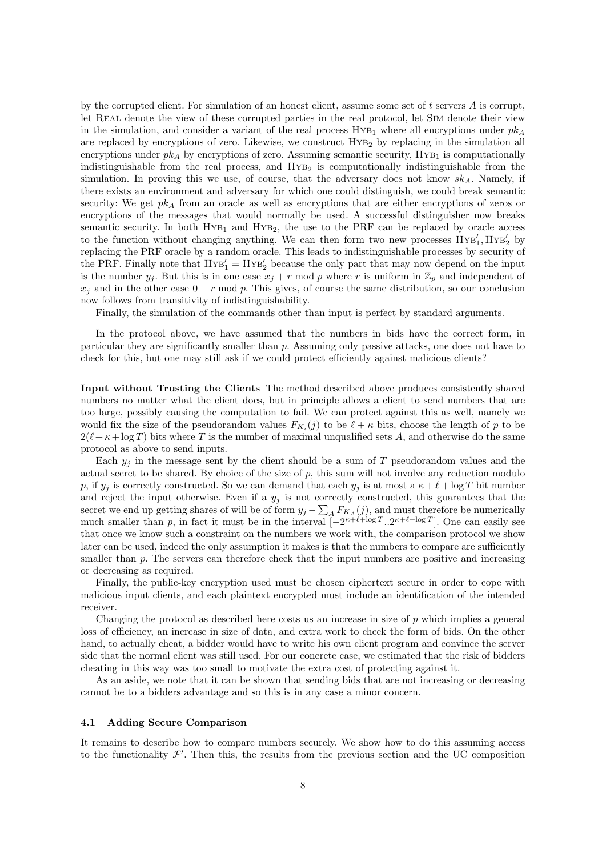by the corrupted client. For simulation of an honest client, assume some set of  $t$  servers  $A$  is corrupt, let Real denote the view of these corrupted parties in the real protocol, let Sim denote their view in the simulation, and consider a variant of the real process  $HYB_1$  where all encryptions under  $pk_A$ are replaced by encryptions of zero. Likewise, we construct HYB2 by replacing in the simulation all encryptions under  $pk_A$  by encryptions of zero. Assuming semantic security,  $HYB_1$  is computationally indistinguishable from the real process, and  $HYB<sub>2</sub>$  is computationally indistinguishable from the simulation. In proving this we use, of course, that the adversary does not know  $sk_A$ . Namely, if there exists an environment and adversary for which one could distinguish, we could break semantic security: We get  $pk_A$  from an oracle as well as encryptions that are either encryptions of zeros or encryptions of the messages that would normally be used. A successful distinguisher now breaks semantic security. In both  $HYB_1$  and  $HYB_2$ , the use to the PRF can be replaced by oracle access to the function without changing anything. We can then form two new processes  $HYB'_{1}, HYB'_{2}$  by replacing the PRF oracle by a random oracle. This leads to indistinguishable processes by security of the PRF. Finally note that  $HYB_1' = HYB_2'$  because the only part that may now depend on the input is the number  $y_j$ . But this is in one case  $x_j + r \mod p$  where r is uniform in  $\mathbb{Z}_p$  and independent of  $x_j$  and in the other case  $0 + r \mod p$ . This gives, of course the same distribution, so our conclusion now follows from transitivity of indistinguishability.

Finally, the simulation of the commands other than input is perfect by standard arguments.

In the protocol above, we have assumed that the numbers in bids have the correct form, in particular they are significantly smaller than p. Assuming only passive attacks, one does not have to check for this, but one may still ask if we could protect efficiently against malicious clients?

Input without Trusting the Clients The method described above produces consistently shared numbers no matter what the client does, but in principle allows a client to send numbers that are too large, possibly causing the computation to fail. We can protect against this as well, namely we would fix the size of the pseudorandom values  $F_{K_i}(j)$  to be  $\ell + \kappa$  bits, choose the length of p to be  $2(\ell+\kappa+\log T)$  bits where T is the number of maximal unqualified sets A, and otherwise do the same protocol as above to send inputs.

Each  $y_j$  in the message sent by the client should be a sum of T pseudorandom values and the actual secret to be shared. By choice of the size of  $p$ , this sum will not involve any reduction modulo p, if  $y_j$  is correctly constructed. So we can demand that each  $y_j$  is at most a  $\kappa + \ell + \log T$  bit number and reject the input otherwise. Even if a  $y_j$  is not correctly constructed, this guarantees that the secret we end up getting shares of will be of form  $y_j - \sum_A F_{K_A}(j)$ , and must therefore be numerically much smaller than p, in fact it must be in the interval  $\left[-2^{\kappa+\ell+\log T} \dots 2^{\kappa+\ell+\log T}\right]$ . One can easily see that once we know such a constraint on the numbers we work with, the comparison protocol we show later can be used, indeed the only assumption it makes is that the numbers to compare are sufficiently smaller than p. The servers can therefore check that the input numbers are positive and increasing or decreasing as required.

Finally, the public-key encryption used must be chosen ciphertext secure in order to cope with malicious input clients, and each plaintext encrypted must include an identification of the intended receiver.

Changing the protocol as described here costs us an increase in size of  $p$  which implies a general loss of efficiency, an increase in size of data, and extra work to check the form of bids. On the other hand, to actually cheat, a bidder would have to write his own client program and convince the server side that the normal client was still used. For our concrete case, we estimated that the risk of bidders cheating in this way was too small to motivate the extra cost of protecting against it.

As an aside, we note that it can be shown that sending bids that are not increasing or decreasing cannot be to a bidders advantage and so this is in any case a minor concern.

#### 4.1 Adding Secure Comparison

It remains to describe how to compare numbers securely. We show how to do this assuming access to the functionality  $\mathcal{F}'$ . Then this, the results from the previous section and the UC composition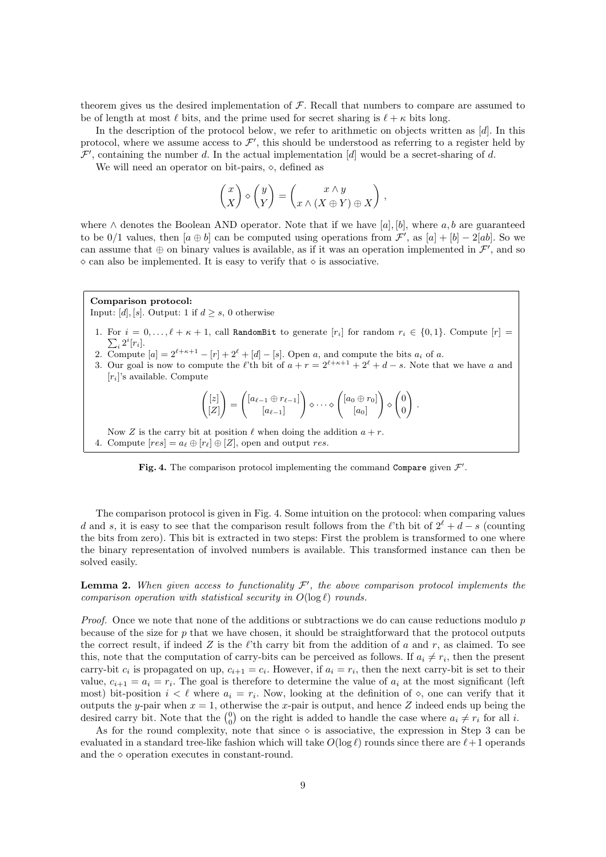theorem gives us the desired implementation of  $\mathcal F$ . Recall that numbers to compare are assumed to be of length at most  $\ell$  bits, and the prime used for secret sharing is  $\ell + \kappa$  bits long.

In the description of the protocol below, we refer to arithmetic on objects written as [d]. In this protocol, where we assume access to  $\mathcal{F}'$ , this should be understood as referring to a register held by  $\mathcal{F}'$ , containing the number d. In the actual implementation [d] would be a secret-sharing of d.

We will need an operator on bit-pairs,  $\diamond$ , defined as

$$
\begin{pmatrix} x \\ X \end{pmatrix} \diamond \begin{pmatrix} y \\ Y \end{pmatrix} = \begin{pmatrix} x \wedge y \\ x \wedge (X \oplus Y) \oplus X \end{pmatrix},
$$

where  $\wedge$  denotes the Boolean AND operator. Note that if we have [a], [b], where a, b are guaranteed to be 0/1 values, then  $[a \oplus b]$  can be computed using operations from  $\mathcal{F}'$ , as  $[a] + [b] - 2[ab]$ . So we can assume that  $\oplus$  on binary values is available, as if it was an operation implemented in  $\mathcal{F}'$ , and so  $\Diamond$  can also be implemented. It is easy to verify that  $\Diamond$  is associative.

#### Comparison protocol:

Input: [d], [s]. Output: 1 if  $d \geq s$ , 0 otherwise

- 1. For  $i = 0, \ldots, \ell + \kappa + 1$ , call RandomBit to generate  $[r_i]$  for random  $r_i \in \{0, 1\}$ . Compute  $[r]$  $\sum_i 2^i [r_i]$ .
- 2. Compute  $[a] = 2^{\ell+\kappa+1} [r] + 2^{\ell} + [d] [s]$ . Open a, and compute the bits  $a_i$  of a.
- 3. Our goal is now to compute the  $\ell'$ th bit of  $a + r = 2^{\ell+\kappa+1} + 2^{\ell} + d s$ . Note that we have a and  $[r_i]$ 's available. Compute

$$
\begin{pmatrix}\n[z] \\
[Z]\n\end{pmatrix} = \begin{pmatrix}\n[a_{\ell-1} \oplus r_{\ell-1}]\n\end{pmatrix} \diamond \cdots \diamond \begin{pmatrix}\n[a_0 \oplus r_0]\n\end{pmatrix} \diamond \begin{pmatrix}\n0 \\
0\n\end{pmatrix}.
$$

Now Z is the carry bit at position  $\ell$  when doing the addition  $a + r$ . 4. Compute  $[res] = a_{\ell} \oplus [r_{\ell}] \oplus [Z]$ , open and output res.



The comparison protocol is given in Fig. 4. Some intuition on the protocol: when comparing values d and s, it is easy to see that the comparison result follows from the  $\ell$ 'th bit of  $2^{\ell} + d - s$  (counting the bits from zero). This bit is extracted in two steps: First the problem is transformed to one where the binary representation of involved numbers is available. This transformed instance can then be solved easily.

**Lemma 2.** When given access to functionality  $\mathcal{F}'$ , the above comparison protocol implements the comparison operation with statistical security in  $O(\log \ell)$  rounds.

Proof. Once we note that none of the additions or subtractions we do can cause reductions modulo p because of the size for p that we have chosen, it should be straightforward that the protocol outputs the correct result, if indeed Z is the  $\ell$ 'th carry bit from the addition of a and r, as claimed. To see this, note that the computation of carry-bits can be perceived as follows. If  $a_i \neq r_i$ , then the present carry-bit  $c_i$  is propagated on up,  $c_{i+1} = c_i$ . However, if  $a_i = r_i$ , then the next carry-bit is set to their value,  $c_{i+1} = a_i = r_i$ . The goal is therefore to determine the value of  $a_i$  at the most significant (left most) bit-position  $i < \ell$  where  $a_i = r_i$ . Now, looking at the definition of  $\diamond$ , one can verify that it outputs the y-pair when  $x = 1$ , otherwise the x-pair is output, and hence Z indeed ends up being the desired carry bit. Note that the  $\binom{0}{0}$  on the right is added to handle the case where  $a_i \neq r_i$  for all i.

As for the round complexity, note that since  $\diamond$  is associative, the expression in Step 3 can be evaluated in a standard tree-like fashion which will take  $O(\log \ell)$  rounds since there are  $\ell + 1$  operands and the  $\diamond$  operation executes in constant-round.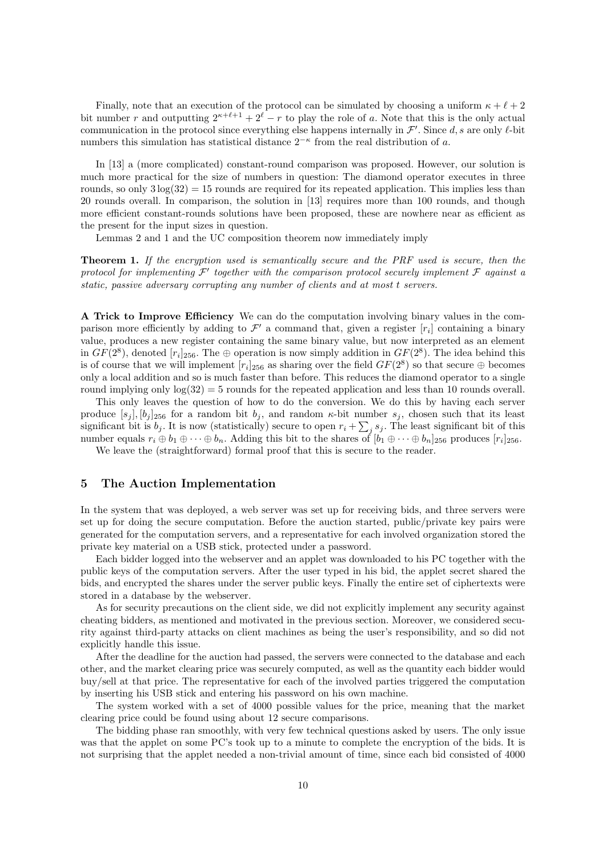Finally, note that an execution of the protocol can be simulated by choosing a uniform  $\kappa + \ell + 2$ bit number r and outputting  $2^{\kappa+\ell+1} + 2^{\ell} - r$  to play the role of a. Note that this is the only actual communication in the protocol since everything else happens internally in  $\mathcal{F}'$ . Since d, s are only  $\ell$ -bit numbers this simulation has statistical distance  $2^{-\kappa}$  from the real distribution of a.

In [13] a (more complicated) constant-round comparison was proposed. However, our solution is much more practical for the size of numbers in question: The diamond operator executes in three rounds, so only  $3 \log(32) = 15$  rounds are required for its repeated application. This implies less than 20 rounds overall. In comparison, the solution in [13] requires more than 100 rounds, and though more efficient constant-rounds solutions have been proposed, these are nowhere near as efficient as the present for the input sizes in question.

Lemmas 2 and 1 and the UC composition theorem now immediately imply

Theorem 1. If the encryption used is semantically secure and the PRF used is secure, then the protocol for implementing  $\mathcal{F}'$  together with the comparison protocol securely implement  $\mathcal F$  against a static, passive adversary corrupting any number of clients and at most t servers.

A Trick to Improve Efficiency We can do the computation involving binary values in the comparison more efficiently by adding to  $\mathcal{F}'$  a command that, given a register  $[r_i]$  containing a binary value, produces a new register containing the same binary value, but now interpreted as an element in  $GF(2^8)$ , denoted  $[r_i]_{256}$ . The  $\oplus$  operation is now simply addition in  $GF(2^8)$ . The idea behind this is of course that we will implement  $[r_i]_{256}$  as sharing over the field  $GF(2^8)$  so that secure  $\oplus$  becomes only a local addition and so is much faster than before. This reduces the diamond operator to a single round implying only  $log(32) = 5$  rounds for the repeated application and less than 10 rounds overall.

This only leaves the question of how to do the conversion. We do this by having each server produce  $[s_j], [b_j]_{256}$  for a random bit  $b_j$ , and random  $\kappa$ -bit number  $s_j$ , chosen such that its least significant bit is  $b_j$ . It is now (statistically) secure to open  $r_i + \sum_j s_j$ . The least significant bit of this number equals  $r_i \oplus b_1 \oplus \cdots \oplus b_n$ . Adding this bit to the shares of  $[b_1 \oplus \cdots \oplus b_n]_{256}$  produces  $[r_i]_{256}$ .

We leave the (straightforward) formal proof that this is secure to the reader.

### 5 The Auction Implementation

In the system that was deployed, a web server was set up for receiving bids, and three servers were set up for doing the secure computation. Before the auction started, public/private key pairs were generated for the computation servers, and a representative for each involved organization stored the private key material on a USB stick, protected under a password.

Each bidder logged into the webserver and an applet was downloaded to his PC together with the public keys of the computation servers. After the user typed in his bid, the applet secret shared the bids, and encrypted the shares under the server public keys. Finally the entire set of ciphertexts were stored in a database by the webserver.

As for security precautions on the client side, we did not explicitly implement any security against cheating bidders, as mentioned and motivated in the previous section. Moreover, we considered security against third-party attacks on client machines as being the user's responsibility, and so did not explicitly handle this issue.

After the deadline for the auction had passed, the servers were connected to the database and each other, and the market clearing price was securely computed, as well as the quantity each bidder would buy/sell at that price. The representative for each of the involved parties triggered the computation by inserting his USB stick and entering his password on his own machine.

The system worked with a set of 4000 possible values for the price, meaning that the market clearing price could be found using about 12 secure comparisons.

The bidding phase ran smoothly, with very few technical questions asked by users. The only issue was that the applet on some PC's took up to a minute to complete the encryption of the bids. It is not surprising that the applet needed a non-trivial amount of time, since each bid consisted of 4000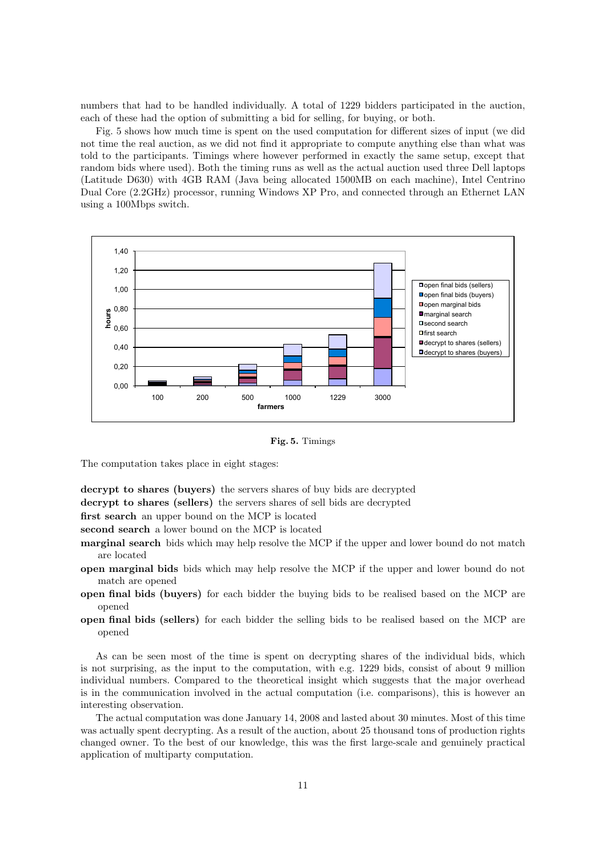numbers that had to be handled individually. A total of 1229 bidders participated in the auction, each of these had the option of submitting a bid for selling, for buying, or both.

Fig. 5 shows how much time is spent on the used computation for different sizes of input (we did not time the real auction, as we did not find it appropriate to compute anything else than what was told to the participants. Timings where however performed in exactly the same setup, except that random bids where used). Both the timing runs as well as the actual auction used three Dell laptops (Latitude D630) with 4GB RAM (Java being allocated 1500MB on each machine), Intel Centrino Dual Core (2.2GHz) processor, running Windows XP Pro, and connected through an Ethernet LAN using a 100Mbps switch.



Fig. 5. Timings

The computation takes place in eight stages:

decrypt to shares (buyers) the servers shares of buy bids are decrypted

decrypt to shares (sellers) the servers shares of sell bids are decrypted

first search an upper bound on the MCP is located

second search a lower bound on the MCP is located

- marginal search bids which may help resolve the MCP if the upper and lower bound do not match are located
- open marginal bids bids which may help resolve the MCP if the upper and lower bound do not match are opened
- open final bids (buyers) for each bidder the buying bids to be realised based on the MCP are opened
- open final bids (sellers) for each bidder the selling bids to be realised based on the MCP are opened

As can be seen most of the time is spent on decrypting shares of the individual bids, which is not surprising, as the input to the computation, with e.g. 1229 bids, consist of about 9 million individual numbers. Compared to the theoretical insight which suggests that the major overhead is in the communication involved in the actual computation (i.e. comparisons), this is however an interesting observation.

The actual computation was done January 14, 2008 and lasted about 30 minutes. Most of this time was actually spent decrypting. As a result of the auction, about 25 thousand tons of production rights changed owner. To the best of our knowledge, this was the first large-scale and genuinely practical application of multiparty computation.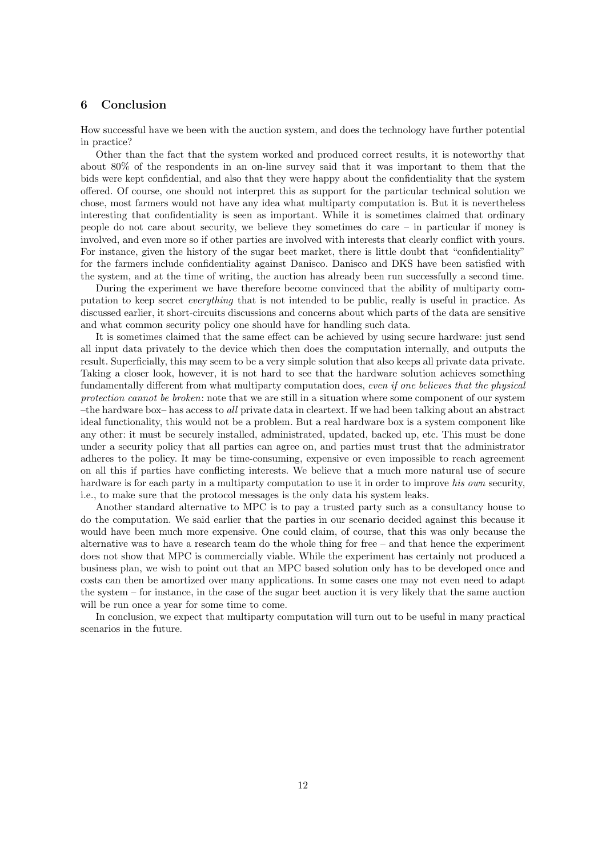# 6 Conclusion

How successful have we been with the auction system, and does the technology have further potential in practice?

Other than the fact that the system worked and produced correct results, it is noteworthy that about 80% of the respondents in an on-line survey said that it was important to them that the bids were kept confidential, and also that they were happy about the confidentiality that the system offered. Of course, one should not interpret this as support for the particular technical solution we chose, most farmers would not have any idea what multiparty computation is. But it is nevertheless interesting that confidentiality is seen as important. While it is sometimes claimed that ordinary people do not care about security, we believe they sometimes do care – in particular if money is involved, and even more so if other parties are involved with interests that clearly conflict with yours. For instance, given the history of the sugar beet market, there is little doubt that "confidentiality" for the farmers include confidentiality against Danisco. Danisco and DKS have been satisfied with the system, and at the time of writing, the auction has already been run successfully a second time.

During the experiment we have therefore become convinced that the ability of multiparty computation to keep secret everything that is not intended to be public, really is useful in practice. As discussed earlier, it short-circuits discussions and concerns about which parts of the data are sensitive and what common security policy one should have for handling such data.

It is sometimes claimed that the same effect can be achieved by using secure hardware: just send all input data privately to the device which then does the computation internally, and outputs the result. Superficially, this may seem to be a very simple solution that also keeps all private data private. Taking a closer look, however, it is not hard to see that the hardware solution achieves something fundamentally different from what multiparty computation does, even if one believes that the physical protection cannot be broken: note that we are still in a situation where some component of our system –the hardware box– has access to all private data in cleartext. If we had been talking about an abstract ideal functionality, this would not be a problem. But a real hardware box is a system component like any other: it must be securely installed, administrated, updated, backed up, etc. This must be done under a security policy that all parties can agree on, and parties must trust that the administrator adheres to the policy. It may be time-consuming, expensive or even impossible to reach agreement on all this if parties have conflicting interests. We believe that a much more natural use of secure hardware is for each party in a multiparty computation to use it in order to improve his own security, i.e., to make sure that the protocol messages is the only data his system leaks.

Another standard alternative to MPC is to pay a trusted party such as a consultancy house to do the computation. We said earlier that the parties in our scenario decided against this because it would have been much more expensive. One could claim, of course, that this was only because the alternative was to have a research team do the whole thing for free – and that hence the experiment does not show that MPC is commercially viable. While the experiment has certainly not produced a business plan, we wish to point out that an MPC based solution only has to be developed once and costs can then be amortized over many applications. In some cases one may not even need to adapt the system – for instance, in the case of the sugar beet auction it is very likely that the same auction will be run once a year for some time to come.

In conclusion, we expect that multiparty computation will turn out to be useful in many practical scenarios in the future.